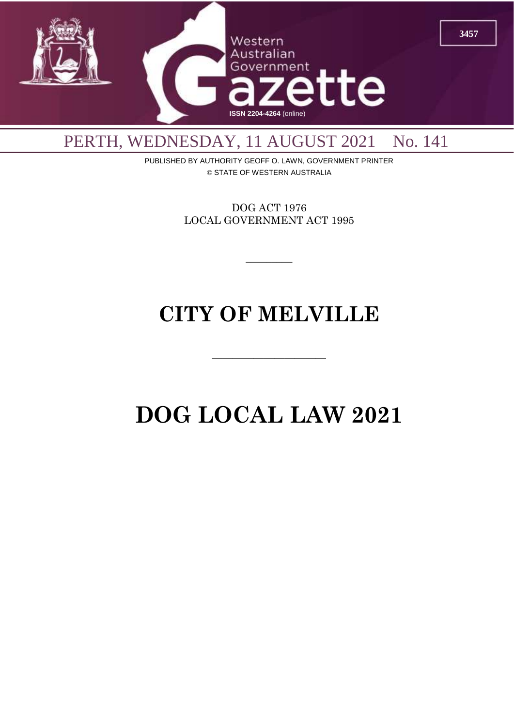

# PERTH, WEDNESDAY, 11 AUGUST 2021 No. 141

PUBLISHED BY AUTHORITY GEOFF O. LAWN, GOVERNMENT PRINTER © STATE OF WESTERN AUSTRALIA

> DOG ACT 1976 LOCAL GOVERNMENT ACT 1995

> > $\overline{\phantom{a}}$

# **CITY OF MELVILLE**

 $\overline{\phantom{a}}$  , and the contract of  $\overline{\phantom{a}}$ 

# **DOG LOCAL LAW 2021**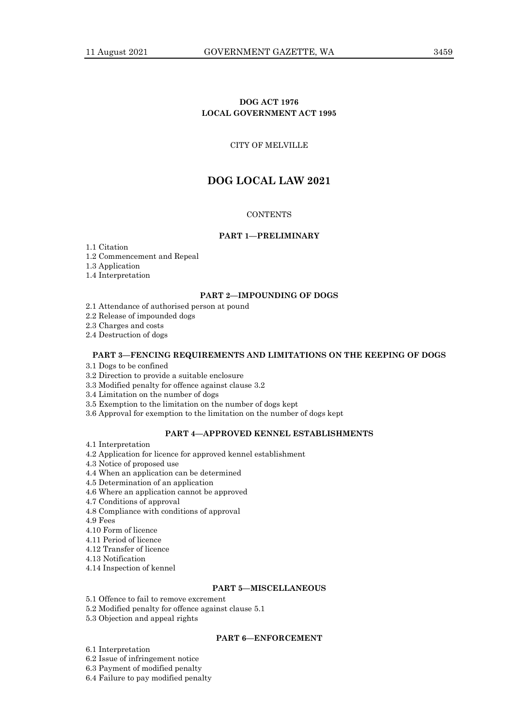# **DOG ACT 1976 LOCAL GOVERNMENT ACT 1995**

# CITY OF MELVILLE

# **DOG LOCAL LAW 2021**

# **CONTENTS**

# **PART 1—PRELIMINARY**

1.1 Citation

1.2 Commencement and Repeal

1.3 Application

1.4 Interpretation

#### **PART 2—IMPOUNDING OF DOGS**

2.1 Attendance of authorised person at pound

2.2 Release of impounded dogs

2.3 Charges and costs

2.4 Destruction of dogs

# **PART 3—FENCING REQUIREMENTS AND LIMITATIONS ON THE KEEPING OF DOGS**

3.1 Dogs to be confined

3.2 Direction to provide a suitable enclosure

3.3 Modified penalty for offence against clause 3.2

3.4 Limitation on the number of dogs

3.5 Exemption to the limitation on the number of dogs kept

3.6 Approval for exemption to the limitation on the number of dogs kept

# **PART 4—APPROVED KENNEL ESTABLISHMENTS**

4.1 Interpretation

4.2 Application for licence for approved kennel establishment

4.3 Notice of proposed use

4.4 When an application can be determined

4.5 Determination of an application

4.6 Where an application cannot be approved

4.7 Conditions of approval

4.8 Compliance with conditions of approval

4.9 Fees

4.10 Form of licence

4.11 Period of licence

4.12 Transfer of licence

4.13 Notification

4.14 Inspection of kennel

# **PART 5—MISCELLANEOUS**

5.1 Offence to fail to remove excrement

5.2 Modified penalty for offence against clause 5.1

5.3 Objection and appeal rights

# **PART 6—ENFORCEMENT**

6.1 Interpretation

6.2 Issue of infringement notice

6.3 Payment of modified penalty

6.4 Failure to pay modified penalty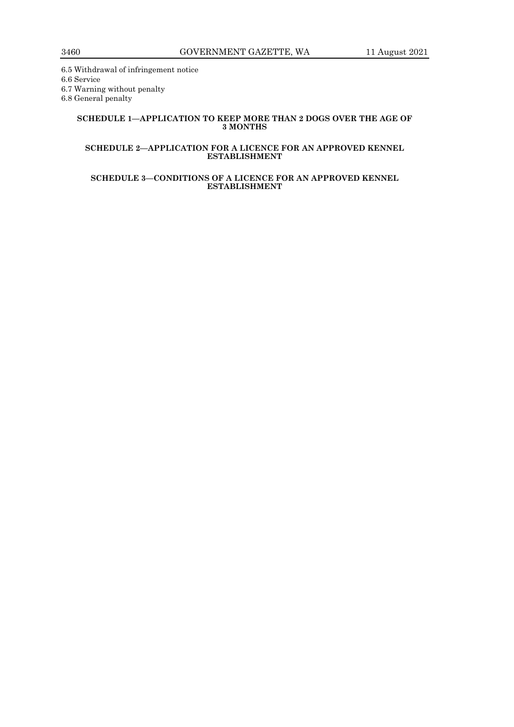6.5 Withdrawal of infringement notice 6.6 Service

6.7 Warning without penalty

6.8 General penalty

# **SCHEDULE 1—APPLICATION TO KEEP MORE THAN 2 DOGS OVER THE AGE OF 3 MONTHS**

# **SCHEDULE 2—APPLICATION FOR A LICENCE FOR AN APPROVED KENNEL ESTABLISHMENT**

# **SCHEDULE 3—CONDITIONS OF A LICENCE FOR AN APPROVED KENNEL ESTABLISHMENT**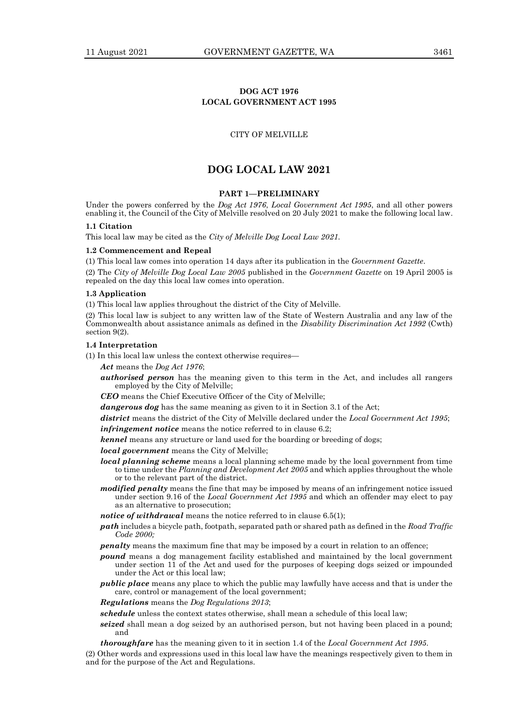# **DOG ACT 1976 LOCAL GOVERNMENT ACT 1995**

#### CITY OF MELVILLE

# **DOG LOCAL LAW 2021**

# **PART 1—PRELIMINARY**

Under the powers conferred by the *Dog Act 1976*, *Local Government Act 1995*, and all other powers enabling it, the Council of the City of Melville resolved on 20 July 2021 to make the following local law.

# **1.1 Citation**

This local law may be cited as the *City of Melville Dog Local Law 2021.*

#### **1.2 Commencement and Repeal**

(1) This local law comes into operation 14 days after its publication in the *Government Gazette*.

(2) The *City of Melville Dog Local Law 2005* published in the *Government Gazette* on 19 April 2005 is repealed on the day this local law comes into operation.

#### **1.3 Application**

(1) This local law applies throughout the district of the City of Melville.

(2) This local law is subject to any written law of the State of Western Australia and any law of the Commonwealth about assistance animals as defined in the *Disability Discrimination Act 1992* (Cwth) section 9(2).

# **1.4 Interpretation**

(1) In this local law unless the context otherwise requires—

*Act* means the *Dog Act 1976*;

*authorised person* has the meaning given to this term in the Act, and includes all rangers employed by the City of Melville;

*CEO* means the Chief Executive Officer of the City of Melville;

*dangerous dog* has the same meaning as given to it in Section 3.1 of the Act;

*district* means the district of the City of Melville declared under the *Local Government Act 1995*;

*infringement notice* means the notice referred to in clause 6.2;

*kennel* means any structure or land used for the boarding or breeding of dogs;

*local government* means the City of Melville;

- *local planning scheme* means a local planning scheme made by the local government from time to time under the *Planning and Development Act 2005* and which applies throughout the whole or to the relevant part of the district.
- *modified penalty* means the fine that may be imposed by means of an infringement notice issued under section 9.16 of the *Local Government Act 1995* and which an offender may elect to pay as an alternative to prosecution;
- *notice of withdrawal* means the notice referred to in clause 6.5(1);
- *path* includes a bicycle path, footpath, separated path or shared path as defined in the *Road Traffic Code 2000;*
- *penalty* means the maximum fine that may be imposed by a court in relation to an offence;
- *pound* means a dog management facility established and maintained by the local government under section 11 of the Act and used for the purposes of keeping dogs seized or impounded under the Act or this local law;
- *public place* means any place to which the public may lawfully have access and that is under the care, control or management of the local government;

*Regulations* means the *Dog Regulations 2013*;

*schedule* unless the context states otherwise, shall mean a schedule of this local law;

*seized* shall mean a dog seized by an authorised person, but not having been placed in a pound; and

*thoroughfare* has the meaning given to it in section 1.4 of the *Local Government Act 1995*.

(2) Other words and expressions used in this local law have the meanings respectively given to them in and for the purpose of the Act and Regulations.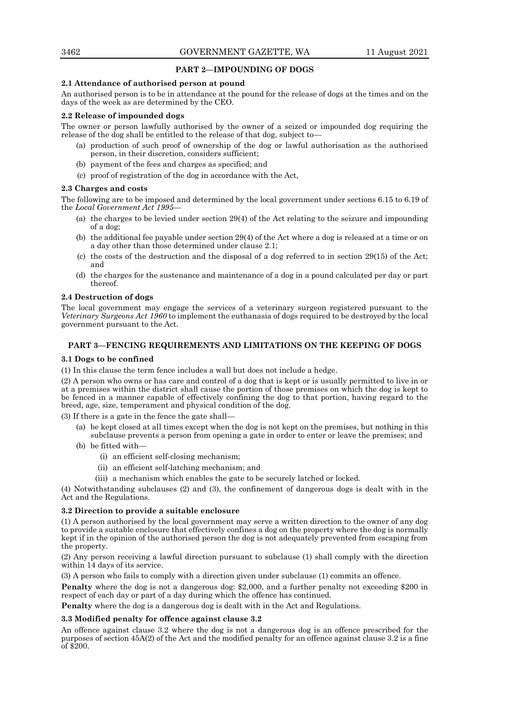# **PART 2—IMPOUNDING OF DOGS**

#### **2.1 Attendance of authorised person at pound**

An authorised person is to be in attendance at the pound for the release of dogs at the times and on the days of the week as are determined by the CEO.

#### **2.2 Release of impounded dogs**

The owner or person lawfully authorised by the owner of a seized or impounded dog requiring the release of the dog shall be entitled to the release of that dog, subject to—

- (a) production of such proof of ownership of the dog or lawful authorisation as the authorised person, in their discretion, considers sufficient;
- (b) payment of the fees and charges as specified; and
- (c) proof of registration of the dog in accordance with the Act,

# **2.3 Charges and costs**

The following are to be imposed and determined by the local government under sections 6.15 to 6.19 of the *Local Government Act 1995*—

- (a) the charges to be levied under section 29(4) of the Act relating to the seizure and impounding of a dog;
- (b) the additional fee payable under section 29(4) of the Act where a dog is released at a time or on a day other than those determined under clause 2.1;
- (c) the costs of the destruction and the disposal of a dog referred to in section 29(15) of the Act; and
- (d) the charges for the sustenance and maintenance of a dog in a pound calculated per day or part thereof.

# **2.4 Destruction of dogs**

The local government may engage the services of a veterinary surgeon registered pursuant to the *Veterinary Surgeons Act 1960* to implement the euthanasia of dogs required to be destroyed by the local government pursuant to the Act.

# **PART 3—FENCING REQUIREMENTS AND LIMITATIONS ON THE KEEPING OF DOGS**

#### **3.1 Dogs to be confined**

(1) In this clause the term fence includes a wall but does not include a hedge.

(2) A person who owns or has care and control of a dog that is kept or is usually permitted to live in or at a premises within the district shall cause the portion of those premises on which the dog is kept to be fenced in a manner capable of effectively confining the dog to that portion, having regard to the breed, age, size, temperament and physical condition of the dog.

(3) If there is a gate in the fence the gate shall—

- (a) be kept closed at all times except when the dog is not kept on the premises, but nothing in this subclause prevents a person from opening a gate in order to enter or leave the premises; and
- (b) be fitted with—
	- (i) an efficient self-closing mechanism;
	- (ii) an efficient self-latching mechanism; and
	- (iii) a mechanism which enables the gate to be securely latched or locked.

(4) Notwithstanding subclauses (2) and (3), the confinement of dangerous dogs is dealt with in the Act and the Regulations.

#### **3.2 Direction to provide a suitable enclosure**

(1) A person authorised by the local government may serve a written direction to the owner of any dog to provide a suitable enclosure that effectively confines a dog on the property where the dog is normally kept if in the opinion of the authorised person the dog is not adequately prevented from escaping from the property.

(2) Any person receiving a lawful direction pursuant to subclause (1) shall comply with the direction within 14 days of its service.

(3) A person who fails to comply with a direction given under subclause (1) commits an offence.

**Penalty** where the dog is not a dangerous dog: \$2,000, and a further penalty not exceeding \$200 in respect of each day or part of a day during which the offence has continued.

**Penalty** where the dog is a dangerous dog is dealt with in the Act and Regulations.

#### **3.3 Modified penalty for offence against clause 3.2**

An offence against clause 3.2 where the dog is not a dangerous dog is an offence prescribed for the purposes of section 45A(2) of the Act and the modified penalty for an offence against clause 3.2 is a fine of \$200.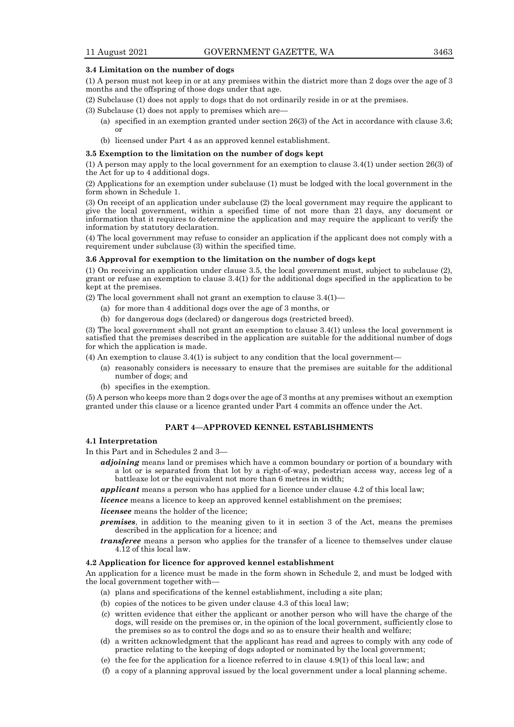#### **3.4 Limitation on the number of dogs**

(1) A person must not keep in or at any premises within the district more than 2 dogs over the age of 3 months and the offspring of those dogs under that age.

- (2) Subclause (1) does not apply to dogs that do not ordinarily reside in or at the premises.
- (3) Subclause (1) does not apply to premises which are—
	- (a) specified in an exemption granted under section 26(3) of the Act in accordance with clause 3.6; or
	- (b) licensed under Part 4 as an approved kennel establishment.

#### **3.5 Exemption to the limitation on the number of dogs kept**

(1) A person may apply to the local government for an exemption to clause 3.4(1) under section 26(3) of the Act for up to 4 additional dogs.

(2) Applications for an exemption under subclause (1) must be lodged with the local government in the form shown in Schedule 1.

(3) On receipt of an application under subclause (2) the local government may require the applicant to give the local government, within a specified time of not more than 21 days, any document or information that it requires to determine the application and may require the applicant to verify the information by statutory declaration.

(4) The local government may refuse to consider an application if the applicant does not comply with a requirement under subclause (3) within the specified time.

# **3.6 Approval for exemption to the limitation on the number of dogs kept**

(1) On receiving an application under clause 3.5, the local government must, subject to subclause (2), grant or refuse an exemption to clause 3.4(1) for the additional dogs specified in the application to be kept at the premises.

(2) The local government shall not grant an exemption to clause 3.4(1)—

- (a) for more than 4 additional dogs over the age of 3 months, or
- (b) for dangerous dogs (declared) or dangerous dogs (restricted breed).

(3) The local government shall not grant an exemption to clause 3.4(1) unless the local government is satisfied that the premises described in the application are suitable for the additional number of dogs for which the application is made.

- (4) An exemption to clause 3.4(1) is subject to any condition that the local government—
	- (a) reasonably considers is necessary to ensure that the premises are suitable for the additional number of dogs; and
	- (b) specifies in the exemption.

(5) A person who keeps more than 2 dogs over the age of 3 months at any premises without an exemption granted under this clause or a licence granted under Part 4 commits an offence under the Act.

### **PART 4—APPROVED KENNEL ESTABLISHMENTS**

#### **4.1 Interpretation**

- In this Part and in Schedules 2 and 3
	- *adjoining* means land or premises which have a common boundary or portion of a boundary with a lot or is separated from that lot by a right-of-way, pedestrian access way, access leg of a battleaxe lot or the equivalent not more than 6 metres in width;
	- *applicant* means a person who has applied for a licence under clause 4.2 of this local law;

*licence* means a licence to keep an approved kennel establishment on the premises;

#### *licensee* means the holder of the licence;

- *premises*, in addition to the meaning given to it in section 3 of the Act, means the premises described in the application for a licence; and
- *transferee* means a person who applies for the transfer of a licence to themselves under clause 4.12 of this local law.

# **4.2 Application for licence for approved kennel establishment**

An application for a licence must be made in the form shown in Schedule 2, and must be lodged with the local government together with-

- (a) plans and specifications of the kennel establishment, including a site plan;
- (b) copies of the notices to be given under clause 4.3 of this local law;
- (c) written evidence that either the applicant or another person who will have the charge of the dogs, will reside on the premises or, in the opinion of the local government, sufficiently close to the premises so as to control the dogs and so as to ensure their health and welfare;
- (d) a written acknowledgment that the applicant has read and agrees to comply with any code of practice relating to the keeping of dogs adopted or nominated by the local government;
- (e) the fee for the application for a licence referred to in clause 4.9(1) of this local law; and
- (f) a copy of a planning approval issued by the local government under a local planning scheme.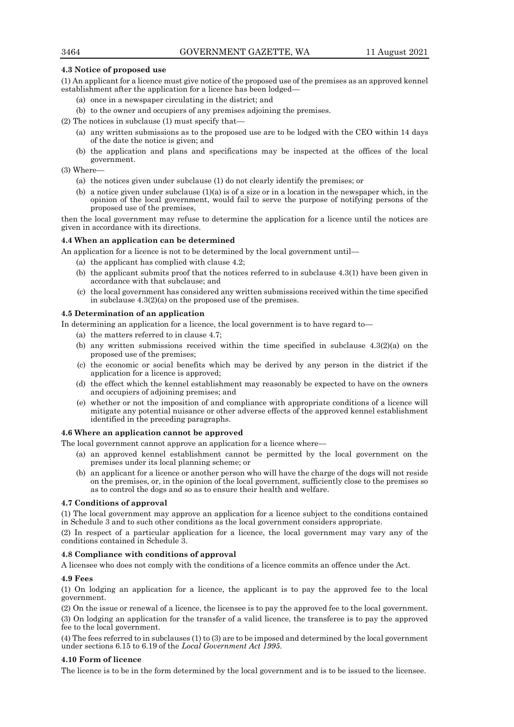# **4.3 Notice of proposed use**

(1) An applicant for a licence must give notice of the proposed use of the premises as an approved kennel establishment after the application for a licence has been lodged—

- (a) once in a newspaper circulating in the district; and
- (b) to the owner and occupiers of any premises adjoining the premises.

(2) The notices in subclause (1) must specify that—

- (a) any written submissions as to the proposed use are to be lodged with the CEO within 14 days of the date the notice is given; and
- (b) the application and plans and specifications may be inspected at the offices of the local government.

(3) Where—

- (a) the notices given under subclause (1) do not clearly identify the premises; or
- (b) a notice given under subclause  $(1)(a)$  is of a size or in a location in the newspaper which, in the opinion of the local government, would fail to serve the purpose of notifying persons of the proposed use of the premises,

then the local government may refuse to determine the application for a licence until the notices are given in accordance with its directions.

# **4.4 When an application can be determined**

An application for a licence is not to be determined by the local government until—

- (a) the applicant has complied with clause 4.2;
- (b) the applicant submits proof that the notices referred to in subclause 4.3(1) have been given in accordance with that subclause; and
- (c) the local government has considered any written submissions received within the time specified in subclause 4.3(2)(a) on the proposed use of the premises.

# **4.5 Determination of an application**

In determining an application for a licence, the local government is to have regard to—

- (a) the matters referred to in clause 4.7;
- (b) any written submissions received within the time specified in subclause  $4.3(2)(a)$  on the proposed use of the premises;
- (c) the economic or social benefits which may be derived by any person in the district if the application for a licence is approved;
- (d) the effect which the kennel establishment may reasonably be expected to have on the owners and occupiers of adjoining premises; and
- (e) whether or not the imposition of and compliance with appropriate conditions of a licence will mitigate any potential nuisance or other adverse effects of the approved kennel establishment identified in the preceding paragraphs.

#### **4.6 Where an application cannot be approved**

The local government cannot approve an application for a licence where—

- (a) an approved kennel establishment cannot be permitted by the local government on the premises under its local planning scheme; or
- (b) an applicant for a licence or another person who will have the charge of the dogs will not reside on the premises, or, in the opinion of the local government, sufficiently close to the premises so as to control the dogs and so as to ensure their health and welfare.

#### **4.7 Conditions of approval**

(1) The local government may approve an application for a licence subject to the conditions contained in Schedule 3 and to such other conditions as the local government considers appropriate.

(2) In respect of a particular application for a licence, the local government may vary any of the conditions contained in Schedule 3.

#### **4.8 Compliance with conditions of approval**

A licensee who does not comply with the conditions of a licence commits an offence under the Act.

# **4.9 Fees**

(1) On lodging an application for a licence, the applicant is to pay the approved fee to the local government.

(2) On the issue or renewal of a licence, the licensee is to pay the approved fee to the local government.

(3) On lodging an application for the transfer of a valid licence, the transferee is to pay the approved fee to the local government.

(4) The fees referred to in subclauses (1) to (3) are to be imposed and determined by the local government under sections 6.15 to 6.19 of the *Local Government Act 1995*.

# **4.10 Form of licence**

The licence is to be in the form determined by the local government and is to be issued to the licensee.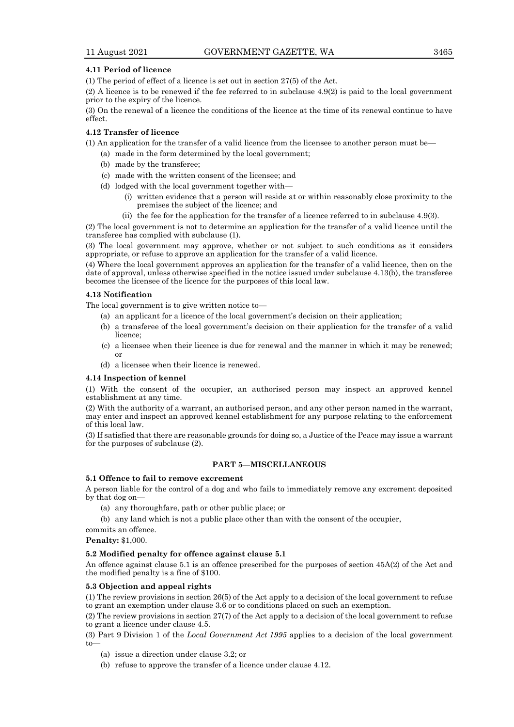# **4.11 Period of licence**

(1) The period of effect of a licence is set out in section 27(5) of the Act.

(2) A licence is to be renewed if the fee referred to in subclause 4.9(2) is paid to the local government prior to the expiry of the licence.

(3) On the renewal of a licence the conditions of the licence at the time of its renewal continue to have effect.

#### **4.12 Transfer of licence**

(1) An application for the transfer of a valid licence from the licensee to another person must be—

- (a) made in the form determined by the local government;
- (b) made by the transferee;
- (c) made with the written consent of the licensee; and
- (d) lodged with the local government together with—
	- (i) written evidence that a person will reside at or within reasonably close proximity to the premises the subject of the licence; and
	- (ii) the fee for the application for the transfer of a licence referred to in subclause 4.9(3).

(2) The local government is not to determine an application for the transfer of a valid licence until the transferee has complied with subclause (1).

(3) The local government may approve, whether or not subject to such conditions as it considers appropriate, or refuse to approve an application for the transfer of a valid licence.

(4) Where the local government approves an application for the transfer of a valid licence, then on the date of approval, unless otherwise specified in the notice issued under subclause 4.13(b), the transferee becomes the licensee of the licence for the purposes of this local law.

# **4.13 Notification**

The local government is to give written notice to—

- (a) an applicant for a licence of the local government's decision on their application;
- (b) a transferee of the local government's decision on their application for the transfer of a valid licence;
- (c) a licensee when their licence is due for renewal and the manner in which it may be renewed; or
- (d) a licensee when their licence is renewed.

#### **4.14 Inspection of kennel**

(1) With the consent of the occupier, an authorised person may inspect an approved kennel establishment at any time.

(2) With the authority of a warrant, an authorised person, and any other person named in the warrant, may enter and inspect an approved kennel establishment for any purpose relating to the enforcement of this local law.

(3) If satisfied that there are reasonable grounds for doing so, a Justice of the Peace may issue a warrant for the purposes of subclause (2).

# **PART 5—MISCELLANEOUS**

# **5.1 Offence to fail to remove excrement**

A person liable for the control of a dog and who fails to immediately remove any excrement deposited by that dog on—

- (a) any thoroughfare, path or other public place; or
- (b) any land which is not a public place other than with the consent of the occupier,

commits an offence.

**Penalty:** \$1,000.

#### **5.2 Modified penalty for offence against clause 5.1**

An offence against clause 5.1 is an offence prescribed for the purposes of section 45A(2) of the Act and the modified penalty is a fine of \$100.

#### **5.3 Objection and appeal rights**

(1) The review provisions in section 26(5) of the Act apply to a decision of the local government to refuse to grant an exemption under clause 3.6 or to conditions placed on such an exemption.

(2) The review provisions in section 27(7) of the Act apply to a decision of the local government to refuse to grant a licence under clause 4.5.

(3) Part 9 Division 1 of the *Local Government Act 1995* applies to a decision of the local government to—

(a) issue a direction under clause 3.2; or

(b) refuse to approve the transfer of a licence under clause 4.12.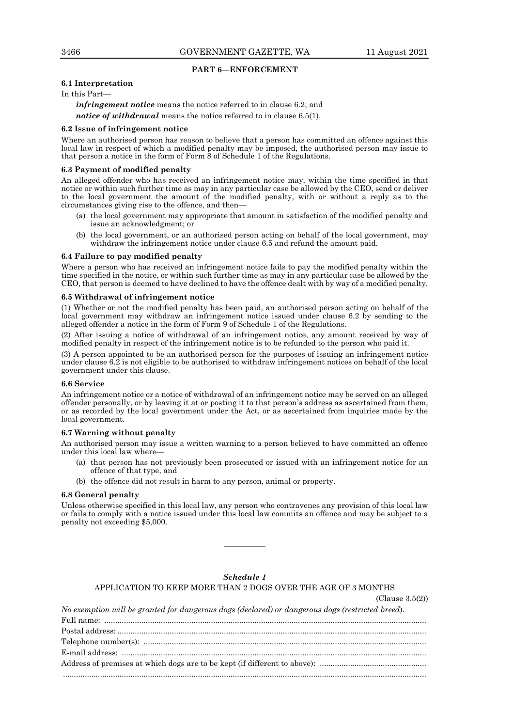(Clause 3.5(2))

# **PART 6—ENFORCEMENT**

# **6.1 Interpretation**

In this Part—

*infringement notice* means the notice referred to in clause 6.2; and *notice of withdrawal* means the notice referred to in clause 6.5(1).

#### **6.2 Issue of infringement notice**

Where an authorised person has reason to believe that a person has committed an offence against this local law in respect of which a modified penalty may be imposed, the authorised person may issue to that person a notice in the form of Form 8 of Schedule 1 of the Regulations.

# **6.3 Payment of modified penalty**

An alleged offender who has received an infringement notice may, within the time specified in that notice or within such further time as may in any particular case be allowed by the CEO, send or deliver to the local government the amount of the modified penalty, with or without a reply as to the circumstances giving rise to the offence, and then—

- (a) the local government may appropriate that amount in satisfaction of the modified penalty and issue an acknowledgment; or
- (b) the local government, or an authorised person acting on behalf of the local government, may withdraw the infringement notice under clause 6.5 and refund the amount paid.

#### **6.4 Failure to pay modified penalty**

Where a person who has received an infringement notice fails to pay the modified penalty within the time specified in the notice, or within such further time as may in any particular case be allowed by the CEO, that person is deemed to have declined to have the offence dealt with by way of a modified penalty.

#### **6.5 Withdrawal of infringement notice**

(1) Whether or not the modified penalty has been paid, an authorised person acting on behalf of the local government may withdraw an infringement notice issued under clause 6.2 by sending to the alleged offender a notice in the form of Form 9 of Schedule 1 of the Regulations.

(2) After issuing a notice of withdrawal of an infringement notice, any amount received by way of modified penalty in respect of the infringement notice is to be refunded to the person who paid it.

(3) A person appointed to be an authorised person for the purposes of issuing an infringement notice under clause 6.2 is not eligible to be authorised to withdraw infringement notices on behalf of the local government under this clause.

#### **6.6 Service**

An infringement notice or a notice of withdrawal of an infringement notice may be served on an alleged offender personally, or by leaving it at or posting it to that person's address as ascertained from them, or as recorded by the local government under the Act, or as ascertained from inquiries made by the local government.

#### **6.7 Warning without penalty**

An authorised person may issue a written warning to a person believed to have committed an offence under this local law where—

- (a) that person has not previously been prosecuted or issued with an infringement notice for an offence of that type, and
- (b) the offence did not result in harm to any person, animal or property.

# **6.8 General penalty**

Unless otherwise specified in this local law, any person who contravenes any provision of this local law or fails to comply with a notice issued under this local law commits an offence and may be subject to a penalty not exceeding \$5,000.

————

# *Schedule 1*

APPLICATION TO KEEP MORE THAN 2 DOGS OVER THE AGE OF 3 MONTHS

*No exemption will be granted for dangerous dogs (declared) or dangerous dogs (restricted breed*). Full name: .................................................................................................................................................... Postal address: .............................................................................................................................................. Telephone number(s): .................................................................................................................................. E-mail address: ............................................................................................................................................ Address of premises at which dogs are to be kept (if different to above): .................................................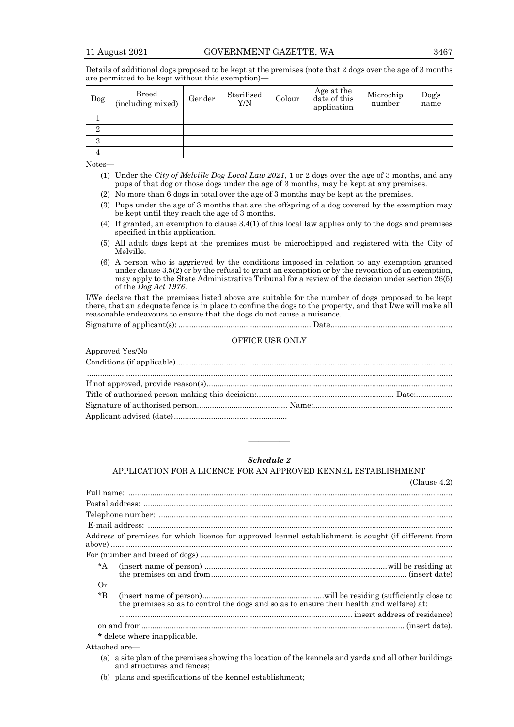| Dog            | Breed<br>(including mixed) | Gender | Sterilised<br>Y/N | Colour | Age at the<br>date of this<br>application | Microchip<br>number | Dog's<br>name |
|----------------|----------------------------|--------|-------------------|--------|-------------------------------------------|---------------------|---------------|
|                |                            |        |                   |        |                                           |                     |               |
| $\overline{2}$ |                            |        |                   |        |                                           |                     |               |
| 3              |                            |        |                   |        |                                           |                     |               |
| 4              |                            |        |                   |        |                                           |                     |               |

Details of additional dogs proposed to be kept at the premises (note that 2 dogs over the age of 3 months are permitted to be kept without this exemption)**—**

Notes—

Approved Yes/No

- (1) Under the *City of Melville Dog Local Law 2021*, 1 or 2 dogs over the age of 3 months, and any pups of that dog or those dogs under the age of 3 months, may be kept at any premises.
- (2) No more than 6 dogs in total over the age of 3 months may be kept at the premises.
- (3) Pups under the age of 3 months that are the offspring of a dog covered by the exemption may be kept until they reach the age of 3 months.
- (4) If granted, an exemption to clause 3.4(1) of this local law applies only to the dogs and premises specified in this application.
- (5) All adult dogs kept at the premises must be microchipped and registered with the City of Melville.
- (6) A person who is aggrieved by the conditions imposed in relation to any exemption granted under clause 3.5(2) or by the refusal to grant an exemption or by the revocation of an exemption, may apply to the State Administrative Tribunal for a review of the decision under section 26(5) of the *Dog Act 1976*.

I/We declare that the premises listed above are suitable for the number of dogs proposed to be kept there, that an adequate fence is in place to confine the dogs to the property, and that I/we will make all reasonable endeavours to ensure that the dogs do not cause a nuisance.

Signature of applicant(s): ............................................................. Date........................................................

# OFFICE USE ONLY

| Theorem TestIAO |  |
|-----------------|--|
|                 |  |
|                 |  |
|                 |  |
|                 |  |
|                 |  |
|                 |  |
|                 |  |

# *Schedule 2*

————

#### APPLICATION FOR A LICENCE FOR AN APPROVED KENNEL ESTABLISHMENT

|             | (Clause 4.2)                                                                                         |
|-------------|------------------------------------------------------------------------------------------------------|
|             |                                                                                                      |
|             |                                                                                                      |
|             |                                                                                                      |
|             |                                                                                                      |
|             | Address of premises for which licence for approved kennel establishment is sought (if different from |
|             |                                                                                                      |
| $^*A$       |                                                                                                      |
| 0r          |                                                                                                      |
| $*_{\rm B}$ | the premises so as to control the dogs and so as to ensure their health and welfare) at:             |
|             |                                                                                                      |
|             |                                                                                                      |
|             | * delete where inapplicable.                                                                         |

Attached are—

- (a) a site plan of the premises showing the location of the kennels and yards and all other buildings and structures and fences;
- (b) plans and specifications of the kennel establishment;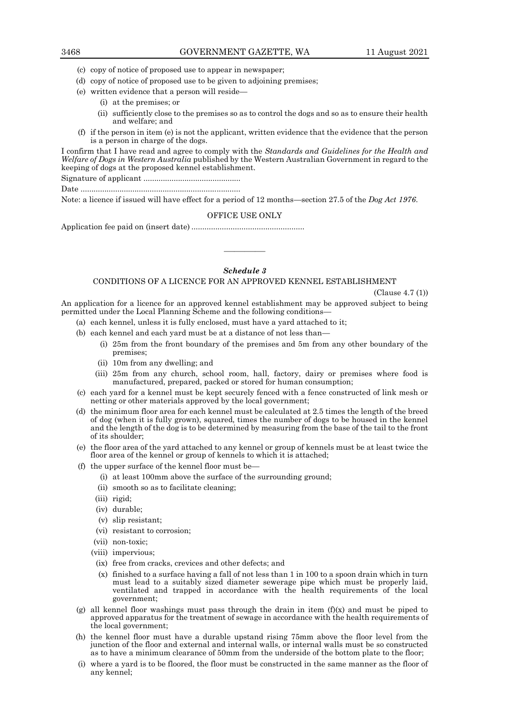- (c) copy of notice of proposed use to appear in newspaper;
- (d) copy of notice of proposed use to be given to adjoining premises;
- (e) written evidence that a person will reside—
	- (i) at the premises; or
	- (ii) sufficiently close to the premises so as to control the dogs and so as to ensure their health and welfare; and
- (f) if the person in item (e) is not the applicant, written evidence that the evidence that the person is a person in charge of the dogs.

I confirm that I have read and agree to comply with the *Standards and Guidelines for the Health and Welfare of Dogs in Western Australia* published by the Western Australian Government in regard to the keeping of dogs at the proposed kennel establishment.

Signature of applicant .............................................

Date ..........................................................................

Note: a licence if issued will have effect for a period of 12 months—section 27.5 of the *Dog Act 1976*.

#### OFFICE USE ONLY

Application fee paid on (insert date) ....................................................

# *Schedule 3*

————

# CONDITIONS OF A LICENCE FOR AN APPROVED KENNEL ESTABLISHMENT

(Clause 4.7 (1))

An application for a licence for an approved kennel establishment may be approved subject to being permitted under the Local Planning Scheme and the following conditions—

- (a) each kennel, unless it is fully enclosed, must have a yard attached to it;
- (b) each kennel and each yard must be at a distance of not less than—
	- (i) 25m from the front boundary of the premises and 5m from any other boundary of the premises;
	- (ii) 10m from any dwelling; and
	- (iii) 25m from any church, school room, hall, factory, dairy or premises where food is manufactured, prepared, packed or stored for human consumption;
- (c) each yard for a kennel must be kept securely fenced with a fence constructed of link mesh or netting or other materials approved by the local government;
- (d) the minimum floor area for each kennel must be calculated at 2.5 times the length of the breed of dog (when it is fully grown), squared, times the number of dogs to be housed in the kennel and the length of the dog is to be determined by measuring from the base of the tail to the front of its shoulder;
- (e) the floor area of the yard attached to any kennel or group of kennels must be at least twice the floor area of the kennel or group of kennels to which it is attached;
- (f) the upper surface of the kennel floor must be—
	- (i) at least 100mm above the surface of the surrounding ground;
	- (ii) smooth so as to facilitate cleaning;
	- (iii) rigid;
	- (iv) durable;
	- (v) slip resistant;
	- (vi) resistant to corrosion;
	- (vii) non-toxic;
	- (viii) impervious;
	- (ix) free from cracks, crevices and other defects; and
	- (x) finished to a surface having a fall of not less than 1 in 100 to a spoon drain which in turn must lead to a suitably sized diameter sewerage pipe which must be properly laid, ventilated and trapped in accordance with the health requirements of the local government;
- (g) all kennel floor washings must pass through the drain in item  $(f)(x)$  and must be piped to approved apparatus for the treatment of sewage in accordance with the health requirements of the local government;
- (h) the kennel floor must have a durable upstand rising 75mm above the floor level from the junction of the floor and external and internal walls, or internal walls must be so constructed as to have a minimum clearance of 50mm from the underside of the bottom plate to the floor;
- (i) where a yard is to be floored, the floor must be constructed in the same manner as the floor of any kennel;